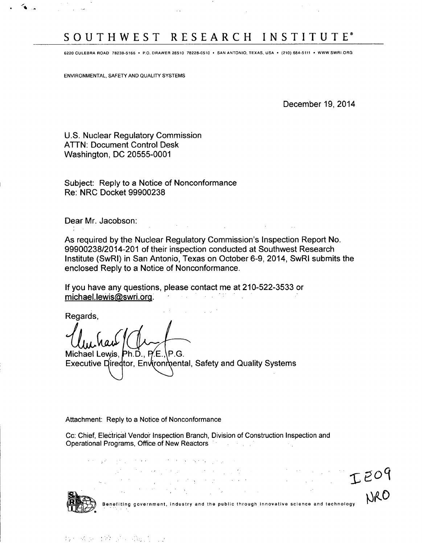# SOUTHWEST RESEARCH INSTITUTE

 $\sim$  .

**6220 CULEBRA ROAD 78238-5166 -** P.O. DRAWER **28510 78228-0510** \* **SAN ANTONIO, TEXAS, USA** \* (210) **684-5111** \* WWW SWRI.ORG

ENVIRONMENTAL, SAFETY AND QUALITY SYSTEMS

December 19, 2014

U.S. Nuclear Regulatory Commission ATTN: Document Control Desk Washington, DC 20555-0001

Subject: Reply to a Notice of Nonconformance Re: NRC Docket 99900238

Dear Mr. Jacobson:

As required by the Nuclear Regulatory Commission's Inspection Report No. 99900238/2014-201 of their inspection conducted at Southwest Research Institute (SwRI) in San Antonio, Texas on October 6-9, 2014, SwRl submits the enclosed Reply to a Notice of Nonconformance.

If you have any questions, please contact me at 210-522-3533 or michael.lewiseswri.org. -

Regards,

Michael Lewis, Ph.D., P.E., P.G. Executive Director, Environmental, Safety and Quality Systems

Attachment: Reply to a Notice of Nonconformance

Cc: Chief, ElectricaI Vendor Inspection Branch, Division of Construction Inspection and Operational Programs, Office of New Reactors

the contract of the state of the contract of the  $\times \mathbb{C}^{\mathcal{O}^{\mathcal{G}}}$ <br>Benefiting government, industry and the public through innovative science and technology  $\mathcal{L}^{\mathcal{A}}_{\mathcal{A}}(\mathcal{A},\mathcal{B})=\mathcal{L}^{\mathcal{A}}_{\mathcal{A}}(\mathcal{A},\mathcal{B})=\mathcal{L}^{\mathcal{A}}_{\mathcal{A}}(\mathcal{A},\mathcal{B})=\mathcal{L}^{\mathcal{A}}_{\mathcal{A}}(\mathcal{A},\mathcal{B})=\mathcal{L}^{\mathcal{A}}_{\mathcal{A}}(\mathcal{A},\mathcal{B})$  $\label{eq:2.1} \mathcal{L}^{\text{max}}_{\text{max}} = \mathcal{L}^{\text{max}}_{\text{max}} = \mathcal{L}^{\text{max}}_{\text{max}}$ 

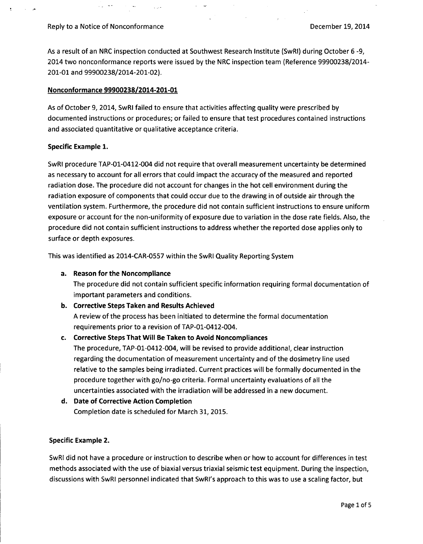As a result of an NRC inspection conducted at Southwest Research Institute (SwRI) during October 6 -9, 2014 two nonconformance reports were issued by the NRC inspection team (Reference 99900238/2014- 201-01 and 99900238/2014-201-02).

#### Nonconformance 99900238/2014-201-01

As of October 9, 2014, SwRI failed to ensure that activities affecting quality were prescribed by documented instructions or procedures; or failed to ensure that test procedures contained instructions and associated quantitative or qualitative acceptance criteria.

#### Specific Example 1.

SwRI procedure TAP-01-0412-004 did not require that overall measurement uncertainty be determined as necessary to account for all errors that could impact the accuracy of the measured and reported radiation dose. The procedure did not account for changes in the hot cell environment during the radiation exposure of components that could occur due to the drawing in of outside air through the ventilation system. Furthermore, the procedure did not contain sufficient instructions to ensure uniform exposure or account for the non-uniformity of exposure due to variation in the dose rate fields. Also, the procedure did not contain sufficient instructions to address whether the reported dose applies only to surface or depth exposures.

This was identified as 2014-CAR-0557 within the SwRI Quality Reporting System

### a. Reason for the Noncompliance

The procedure did not contain sufficient specific information requiring formal documentation of important parameters and conditions.

### b. Corrective Steps Taken and Results Achieved

A review of the process has been initiated to determine the formal documentation requirements prior to a revision of TAP-01-0412-004.

### c. Corrective Steps That Will Be Taken to Avoid Noncompliances

The procedure, TAP-01-0412-004, will be revised to provide additional, clear instruction regarding the documentation of measurement uncertainty and of the dosimetry line used relative to the samples being irradiated. Current practices will be formally documented in the procedure together with go/no-go criteria. Formal uncertainty evaluations of all the uncertainties associated with the irradiation will be addressed in a new document.

d. Date of Corrective Action Completion Completion date is scheduled for March 31, 2015.

### Specific Example 2.

SwRI did not have a procedure or instruction to describe when or how to account for differences in test methods associated with the use of biaxial versus triaxial seismic test equipment. During the inspection, discussions with SwRI personnel indicated that SwRl's approach to this was to use a scaling factor, but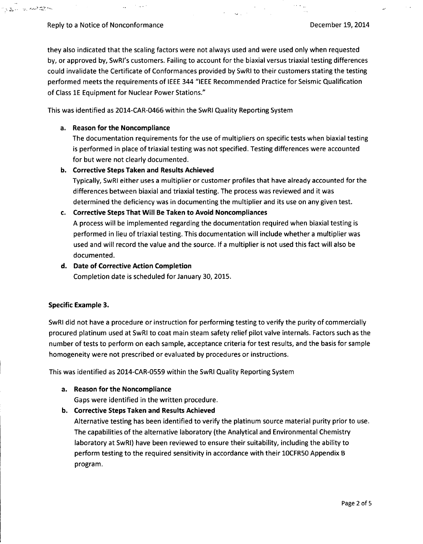いまい せんそこち

 $\langle\cdot,\cdot\rangle_{\omega}$ 

they also indicated that the scaling factors were not always used and were used only when requested by, or approved by, SwRl's customers. Failing to account for the biaxial versus triaxial testing differences could invalidate the Certificate of Conformances provided by SwRI to their customers stating the testing performed meets the requirements of IEEE 344 "IEEE Recommended Practice for Seismic Qualification of Class **1E** Equipment for Nuclear Power Stations."

 $\sim$  ,  $\sim$ 

This was identified as 2014-CAR-0466 within the SwRl Quality Reporting System

### a. Reason for the Noncompliance

The documentation requirements for the use of multipliers on specific tests when biaxial testing is performed in place of triaxial testing was not specified. Testing differences were accounted for but were not clearly documented.

### b. Corrective Steps Taken and Results Achieved

 $\mathcal{F}(\mathcal{A},\mathcal{A})$  .

Typically, SwRl either uses a multiplier or customer profiles that have already accounted for the differences between biaxial and triaxial testing. The process was reviewed and it was determined the deficiency was in documenting the multiplier and its use on any given test.

### c. Corrective Steps That Will Be Taken to Avoid Noncompliances

A process will be implemented regarding the documentation required when biaxial testing is performed in lieu of triaxial testing. This documentation will include whether a multiplier was used and will record the value and the source. If a multiplier is not used this fact will also be documented.

### d. Date of Corrective Action Completion

Completion date is scheduled for January 30, 2015.

### Specific Example 3.

SwRl did not have a procedure or instruction for performing testing to verify the purity of commercially procured platinum used at SwRl to coat main steam safety relief pilot valve internals. Factors such as the number of tests to perform on each sample, acceptance criteria for test results, and the basis for sample homogeneity were not prescribed or evaluated by procedures or instructions.

This was identified as 2014-CAR-0559 within the SwRl Quality Reporting System

### a. Reason for the Noncompliance

Gaps were identified in the written procedure.

b. Corrective Steps Taken and Results Achieved

Alternative testing has been identified to verify the platinum source material purity prior to use. The capabilities of the alternative laboratory (the Analytical and Environmental Chemistry laboratory at SwRI) have been reviewed to ensure their suitability, including the ability to perform testing to the required sensitivity in accordance with their 10CFR50 Appendix B program.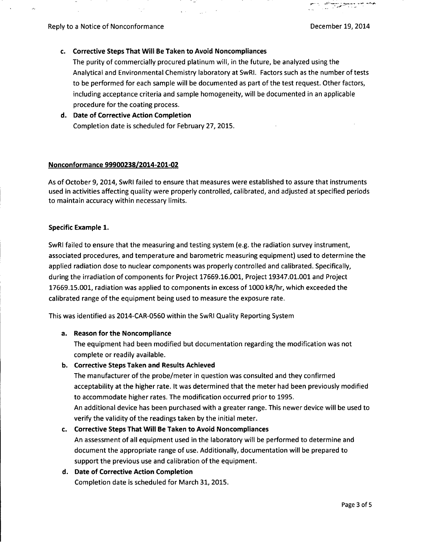لانتقاضيت

## c. Corrective Steps That Will Be Taken to Avoid Noncompliances

 $\mathbf{v} \in \mathbb{R}^{n \times n}$ 

The purity of commercially procured platinum will, in the future, be analyzed using the Analytical and Environmental Chemistry laboratory at SwRl. Factors such as the number of tests to be performed for each sample will be documented as part of the test request. Other factors, including acceptance criteria and sample homogeneity, will be documented in an applicable procedure for the coating process.

# **d.** Date of Corrective Action Completion Completion date is scheduled for February **27, 2015.**

### Nonconformance **99900238/2014-201-02**

As of October **9,** 2014, SwRl failed to ensure that measures were established to assure that instruments used in activities affecting quality were properly controlled, calibrated, and adjusted at specified periods to maintain accuracy within necessary limits.

### Specific Example **1.**

SwRl failed to ensure that the measuring and testing system (e.g. the radiation survey instrument, associated procedures, and temperature and barometric measuring equipment) used to determine the applied radiation dose to nuclear components was properly controlled and calibrated. Specifically, during the irradiation of components for Project **17669.16.001,** Project **19347.01.001** and Project **17669.15.001,** radiation was applied to components in excess of **1000** kR/hr, which exceeded the calibrated range of the equipment being used to measure the exposure rate.

This was identified as 2014-CAR-0560 within the SwRl Quality Reporting System

### a. Reason for the Noncompliance

The equipment had been modified but documentation regarding the modification was not complete or readily available.

# **b.** Corrective Steps Taken and Results Achieved

The manufacturer of the probe/meter in question was consulted and they confirmed acceptability at the higher rate. It was determined that the meter had been previously modified to accommodate higher rates. The modification occurred prior to **1995.** An additional device has been purchased with a greater range. This newer device will be used to verify the validity of the readings taken **by** the initial meter.

# c. Corrective Steps That Will Be Taken to Avoid Noncompliances

An assessment of all equipment used in the laboratory will be performed to determine and document the appropriate range of use. Additionally, documentation will be prepared to support the previous use and calibration of the equipment.

# **d.** Date of Corrective Action Completion

Completion date is scheduled for March **31, 2015.**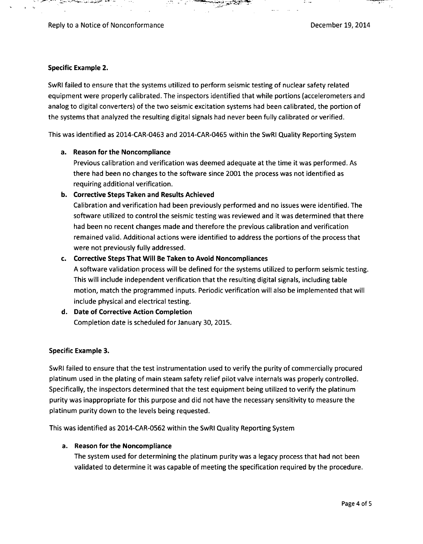T.

### Specific Example 2.

SwRl failed to ensure that the systems utilized to perform seismic testing of nuclear safety related equipment were properly calibrated. The inspectors identified that while portions (accelerometers and analog to digital converters) of the two seismic excitation systems had been calibrated, the portion of the systems that analyzed the resulting digital signals had never been fully calibrated or verified.

This was identified as 2014-CAR-0463 and 2014-CAR-0465 within the SwRl Quality Reporting System

### a. Reason for the Noncompliance

Previous calibration and verification was deemed adequate at the time it was performed. As there had been no changes to the software since 2001 the process was not identified as requiring additional verification.

### **b.** Corrective Steps Taken and Results Achieved

Calibration and verification had been previously performed and no issues were identified. The software utilized to control the seismic testing was reviewed and it was determined that there had been no recent changes made and therefore the previous calibration and verification remained valid. Additional actions were identified to address the portions of the process that were not previously fully addressed.

### c. Corrective Steps That Will Be Taken to Avoid Noncompliances

**A** software validation process will be defined for the systems utilized to perform seismic testing. This will include independent verification that the resulting digital signals, including table motion, match the programmed inputs. Periodic verification will also be implemented that will include physical and electrical testing.

**d.** Date of Corrective Action Completion Completion date is scheduled for January **30, 2015.**

### Specific Example **3.**

SwRl failed to ensure that the test instrumentation used to verify the purity of commercially procured platinum used in the plating of main steam safety relief pilot valve internals was properly controlled. Specifically, the inspectors determined that the test equipment being utilized to verify the platinum purity was inappropriate for this purpose and did not have the necessary sensitivity to measure the platinum purity down to the levels being requested.

This was identified as 2014-CAR-0562 within the SwRI Quality Reporting System

### a. Reason for the Noncompliance

The system used for determining the platinum purity was a legacy process that had not been validated to determine it was capable of meeting the specification required **by** the procedure.